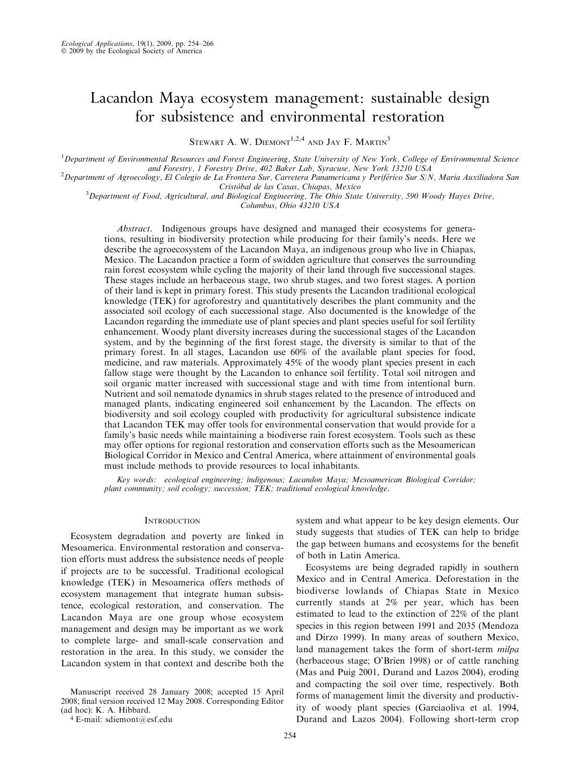# Lacandon Maya ecosystem management: sustainable design for subsistence and environmental restoration

STEWART A. W. DIEMONT<sup>1,2,4</sup> AND JAY F. MARTIN<sup>3</sup>

<sup>1</sup>Department of Environmental Resources and Forest Engineering, State University of New York, College of Environmental Science and Forestry, 1 Forestry Drive, 402 Baker Lab, Syracuse, New York 13210 USA<br><sup>2</sup>Department of Agroecology, El Colegio de La Frontera Sur, Carretera Panamericana y Periférico Sur S/N, Maria Auxiliadora San

<sup>3</sup> Department of Food, Agricultural, and Biological Engineering, The Ohio State University, 590 Woody Hayes Drive,

Columbus, Ohio 43210 USA

Abstract. Indigenous groups have designed and managed their ecosystems for generations, resulting in biodiversity protection while producing for their family's needs. Here we describe the agroecosystem of the Lacandon Maya, an indigenous group who live in Chiapas, Mexico. The Lacandon practice a form of swidden agriculture that conserves the surrounding rain forest ecosystem while cycling the majority of their land through five successional stages. These stages include an herbaceous stage, two shrub stages, and two forest stages. A portion of their land is kept in primary forest. This study presents the Lacandon traditional ecological knowledge (TEK) for agroforestry and quantitatively describes the plant community and the associated soil ecology of each successional stage. Also documented is the knowledge of the Lacandon regarding the immediate use of plant species and plant species useful for soil fertility enhancement. Woody plant diversity increases during the successional stages of the Lacandon system, and by the beginning of the first forest stage, the diversity is similar to that of the primary forest. In all stages, Lacandon use 60% of the available plant species for food, medicine, and raw materials. Approximately 45% of the woody plant species present in each fallow stage were thought by the Lacandon to enhance soil fertility. Total soil nitrogen and soil organic matter increased with successional stage and with time from intentional burn. Nutrient and soil nematode dynamics in shrub stages related to the presence of introduced and managed plants, indicating engineered soil enhancement by the Lacandon. The effects on biodiversity and soil ecology coupled with productivity for agricultural subsistence indicate that Lacandon TEK may offer tools for environmental conservation that would provide for a family's basic needs while maintaining a biodiverse rain forest ecosystem. Tools such as these may offer options for regional restoration and conservation efforts such as the Mesoamerican Biological Corridor in Mexico and Central America, where attainment of environmental goals must include methods to provide resources to local inhabitants.

Key words: ecological engineering; indigenous; Lacandon Maya; Mesoamerican Biological Corridor; plant community; soil ecology; succession; TEK; traditional ecological knowledge.

# **INTRODUCTION**

Ecosystem degradation and poverty are linked in Mesoamerica. Environmental restoration and conservation efforts must address the subsistence needs of people if projects are to be successful. Traditional ecological knowledge (TEK) in Mesoamerica offers methods of ecosystem management that integrate human subsistence, ecological restoration, and conservation. The Lacandon Maya are one group whose ecosystem management and design may be important as we work to complete large- and small-scale conservation and restoration in the area. In this study, we consider the Lacandon system in that context and describe both the

Manuscript received 28 January 2008; accepted 15 April 2008; final version received 12 May 2008. Corresponding Editor (ad hoc): K. A. Hibbard.

<sup>4</sup> E-mail: sdiemont@esf.edu

system and what appear to be key design elements. Our study suggests that studies of TEK can help to bridge the gap between humans and ecosystems for the benefit of both in Latin America.

Ecosystems are being degraded rapidly in southern Mexico and in Central America. Deforestation in the biodiverse lowlands of Chiapas State in Mexico currently stands at 2% per year, which has been estimated to lead to the extinction of 22% of the plant species in this region between 1991 and 2035 (Mendoza and Dirzo 1999). In many areas of southern Mexico, land management takes the form of short-term milpa (herbaceous stage; O'Brien 1998) or of cattle ranching (Mas and Puig 2001, Durand and Lazos 2004), eroding and compacting the soil over time, respectively. Both forms of management limit the diversity and productivity of woody plant species (Garciaoliva et al. 1994, Durand and Lazos 2004). Following short-term crop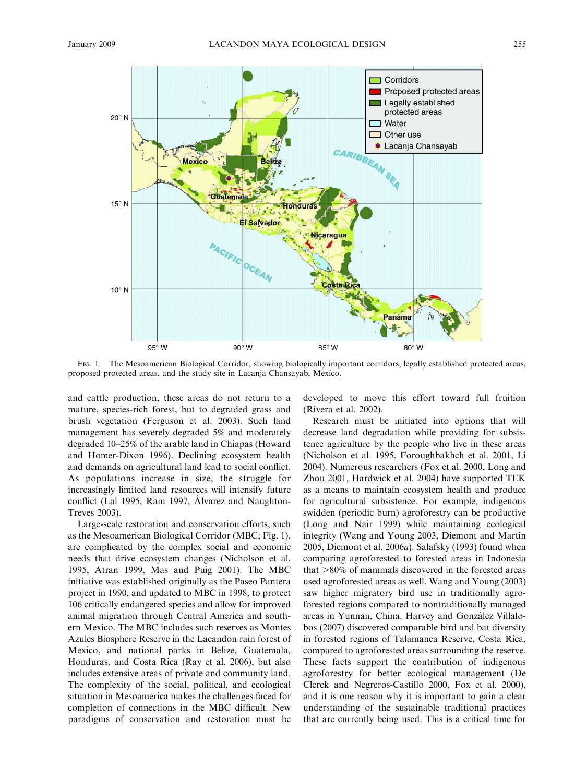

FIG. 1. The Mesoamerican Biological Corridor, showing biologically important corridors, legally established protected areas, proposed protected areas, and the study site in Lacanja Chansayab, Mexico.

and cattle production, these areas do not return to a mature, species-rich forest, but to degraded grass and brush vegetation (Ferguson et al. 2003). Such land management has severely degraded 5% and moderately degraded 10–25% of the arable land in Chiapas (Howard and Homer-Dixon 1996). Declining ecosystem health and demands on agricultural land lead to social conflict. As populations increase in size, the struggle for increasingly limited land resources will intensify future conflict (Lal 1995, Ram 1997, Alvarez and Naughton-Treves 2003).

Large-scale restoration and conservation efforts, such as the Mesoamerican Biological Corridor (MBC; Fig. 1), are complicated by the complex social and economic needs that drive ecosystem changes (Nicholson et al. 1995, Atran 1999, Mas and Puig 2001). The MBC initiative was established originally as the Paseo Pantera project in 1990, and updated to MBC in 1998, to protect 106 critically endangered species and allow for improved animal migration through Central America and southern Mexico. The MBC includes such reserves as Montes Azules Biosphere Reserve in the Lacandon rain forest of Mexico, and national parks in Belize, Guatemala, Honduras, and Costa Rica (Ray et al. 2006), but also includes extensive areas of private and community land. The complexity of the social, political, and ecological situation in Mesoamerica makes the challenges faced for completion of connections in the MBC difficult. New paradigms of conservation and restoration must be developed to move this effort toward full fruition (Rivera et al. 2002).

Research must be initiated into options that will decrease land degradation while providing for subsistence agriculture by the people who live in these areas (Nicholson et al. 1995, Foroughbakhch et al. 2001, Li 2004). Numerous researchers (Fox et al. 2000, Long and Zhou 2001, Hardwick et al. 2004) have supported TEK as a means to maintain ecosystem health and produce for agricultural subsistence. For example, indigenous swidden (periodic burn) agroforestry can be productive (Long and Nair 1999) while maintaining ecological integrity (Wang and Young 2003, Diemont and Martin 2005, Diemont et al. 2006a). Salafsky (1993) found when comparing agroforested to forested areas in Indonesia that  $>80\%$  of mammals discovered in the forested areas used agroforested areas as well. Wang and Young (2003) saw higher migratory bird use in traditionally agroforested regions compared to nontraditionally managed areas in Yunnan, China. Harvey and González Villalobos (2007) discovered comparable bird and bat diversity in forested regions of Talamanca Reserve, Costa Rica, compared to agroforested areas surrounding the reserve. These facts support the contribution of indigenous agroforestry for better ecological management (De Clerck and Negreros-Castillo 2000, Fox et al. 2000), and it is one reason why it is important to gain a clear understanding of the sustainable traditional practices that are currently being used. This is a critical time for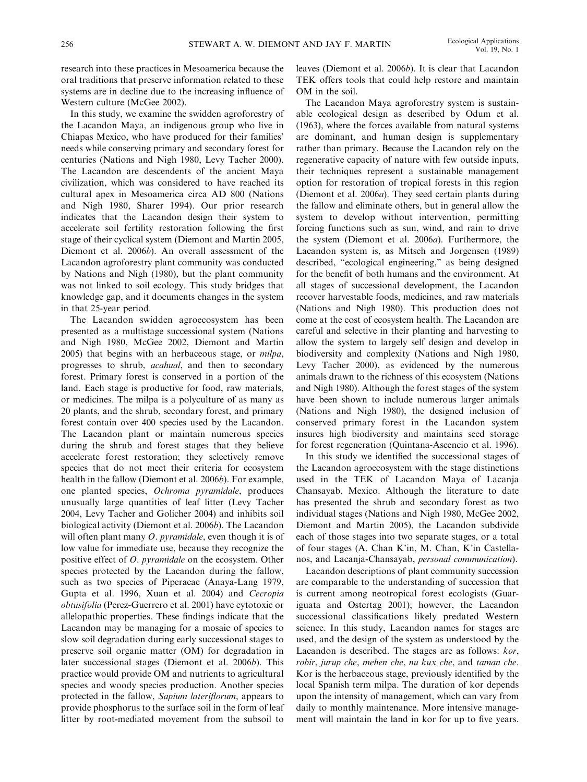research into these practices in Mesoamerica because the oral traditions that preserve information related to these systems are in decline due to the increasing influence of Western culture (McGee 2002).

In this study, we examine the swidden agroforestry of the Lacandon Maya, an indigenous group who live in Chiapas Mexico, who have produced for their families' needs while conserving primary and secondary forest for centuries (Nations and Nigh 1980, Levy Tacher 2000). The Lacandon are descendents of the ancient Maya civilization, which was considered to have reached its cultural apex in Mesoamerica circa AD 800 (Nations and Nigh 1980, Sharer 1994). Our prior research indicates that the Lacandon design their system to accelerate soil fertility restoration following the first stage of their cyclical system (Diemont and Martin 2005, Diemont et al. 2006b). An overall assessment of the Lacandon agroforestry plant community was conducted by Nations and Nigh (1980), but the plant community was not linked to soil ecology. This study bridges that knowledge gap, and it documents changes in the system in that 25-year period.

The Lacandon swidden agroecosystem has been presented as a multistage successional system (Nations and Nigh 1980, McGee 2002, Diemont and Martin 2005) that begins with an herbaceous stage, or milpa, progresses to shrub, acahual, and then to secondary forest. Primary forest is conserved in a portion of the land. Each stage is productive for food, raw materials, or medicines. The milpa is a polyculture of as many as 20 plants, and the shrub, secondary forest, and primary forest contain over 400 species used by the Lacandon. The Lacandon plant or maintain numerous species during the shrub and forest stages that they believe accelerate forest restoration; they selectively remove species that do not meet their criteria for ecosystem health in the fallow (Diemont et al. 2006b). For example, one planted species, Ochroma pyramidale, produces unusually large quantities of leaf litter (Levy Tacher 2004, Levy Tacher and Golicher 2004) and inhibits soil biological activity (Diemont et al. 2006b). The Lacandon will often plant many  $O.$  *pyramidale*, even though it is of low value for immediate use, because they recognize the positive effect of O. pyramidale on the ecosystem. Other species protected by the Lacandon during the fallow, such as two species of Piperacae (Anaya-Lang 1979, Gupta et al. 1996, Xuan et al. 2004) and Cecropia obtusifolia (Perez-Guerrero et al. 2001) have cytotoxic or allelopathic properties. These findings indicate that the Lacandon may be managing for a mosaic of species to slow soil degradation during early successional stages to preserve soil organic matter (OM) for degradation in later successional stages (Diemont et al. 2006b). This practice would provide OM and nutrients to agricultural species and woody species production. Another species protected in the fallow, Sapium lateriflorum, appears to provide phosphorus to the surface soil in the form of leaf litter by root-mediated movement from the subsoil to

leaves (Diemont et al. 2006b). It is clear that Lacandon TEK offers tools that could help restore and maintain OM in the soil.

The Lacandon Maya agroforestry system is sustainable ecological design as described by Odum et al. (1963), where the forces available from natural systems are dominant, and human design is supplementary rather than primary. Because the Lacandon rely on the regenerative capacity of nature with few outside inputs, their techniques represent a sustainable management option for restoration of tropical forests in this region (Diemont et al. 2006a). They seed certain plants during the fallow and eliminate others, but in general allow the system to develop without intervention, permitting forcing functions such as sun, wind, and rain to drive the system (Diemont et al. 2006a). Furthermore, the Lacandon system is, as Mitsch and Jorgensen (1989) described, "ecological engineering," as being designed for the benefit of both humans and the environment. At all stages of successional development, the Lacandon recover harvestable foods, medicines, and raw materials (Nations and Nigh 1980). This production does not come at the cost of ecosystem health. The Lacandon are careful and selective in their planting and harvesting to allow the system to largely self design and develop in biodiversity and complexity (Nations and Nigh 1980, Levy Tacher 2000), as evidenced by the numerous animals drawn to the richness of this ecosystem (Nations and Nigh 1980). Although the forest stages of the system have been shown to include numerous larger animals (Nations and Nigh 1980), the designed inclusion of conserved primary forest in the Lacandon system insures high biodiversity and maintains seed storage for forest regeneration (Quintana-Ascencio et al. 1996).

In this study we identified the successional stages of the Lacandon agroecosystem with the stage distinctions used in the TEK of Lacandon Maya of Lacanja Chansayab, Mexico. Although the literature to date has presented the shrub and secondary forest as two individual stages (Nations and Nigh 1980, McGee 2002, Diemont and Martin 2005), the Lacandon subdivide each of those stages into two separate stages, or a total of four stages (A. Chan K'in, M. Chan, K'in Castellanos, and Lacanja-Chansayab, personal communication).

Lacandon descriptions of plant community succession are comparable to the understanding of succession that is current among neotropical forest ecologists (Guariguata and Ostertag 2001); however, the Lacandon successional classifications likely predated Western science. In this study, Lacandon names for stages are used, and the design of the system as understood by the Lacandon is described. The stages are as follows: kor, robir, jurup che, mehen che, nu kux che, and taman che. Kor is the herbaceous stage, previously identified by the local Spanish term milpa. The duration of kor depends upon the intensity of management, which can vary from daily to monthly maintenance. More intensive management will maintain the land in kor for up to five years.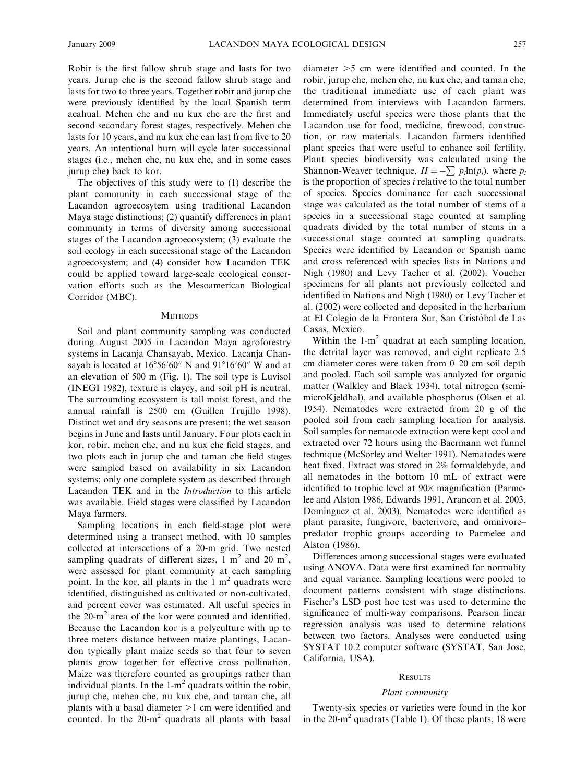Robir is the first fallow shrub stage and lasts for two years. Jurup che is the second fallow shrub stage and lasts for two to three years. Together robir and jurup che were previously identified by the local Spanish term acahual. Mehen che and nu kux che are the first and second secondary forest stages, respectively. Mehen che lasts for 10 years, and nu kux che can last from five to 20 years. An intentional burn will cycle later successional stages (i.e., mehen che, nu kux che, and in some cases jurup che) back to kor.

The objectives of this study were to (1) describe the plant community in each successional stage of the Lacandon agroecosytem using traditional Lacandon Maya stage distinctions; (2) quantify differences in plant community in terms of diversity among successional stages of the Lacandon agroecosystem; (3) evaluate the soil ecology in each successional stage of the Lacandon agroecosystem; and (4) consider how Lacandon TEK could be applied toward large-scale ecological conservation efforts such as the Mesoamerican Biological Corridor (MBC).

## **METHODS**

Soil and plant community sampling was conducted during August 2005 in Lacandon Maya agroforestry systems in Lacanja Chansayab, Mexico. Lacanja Chansayab is located at  $16^{\circ}56'60''$  N and  $91^{\circ}16'60''$  W and at an elevation of 500 m (Fig. 1). The soil type is Luvisol (INEGI 1982), texture is clayey, and soil pH is neutral. The surrounding ecosystem is tall moist forest, and the annual rainfall is 2500 cm (Guillen Trujillo 1998). Distinct wet and dry seasons are present; the wet season begins in June and lasts until January. Four plots each in kor, robir, mehen che, and nu kux che field stages, and two plots each in jurup che and taman che field stages were sampled based on availability in six Lacandon systems; only one complete system as described through Lacandon TEK and in the Introduction to this article was available. Field stages were classified by Lacandon Maya farmers.

Sampling locations in each field-stage plot were determined using a transect method, with 10 samples collected at intersections of a 20-m grid. Two nested sampling quadrats of different sizes,  $1 \text{ m}^2$  and  $20 \text{ m}^2$ , were assessed for plant community at each sampling point. In the kor, all plants in the  $1 \text{ m}^2$  quadrats were identified, distinguished as cultivated or non-cultivated, and percent cover was estimated. All useful species in the  $20-m^2$  area of the kor were counted and identified. Because the Lacandon kor is a polyculture with up to three meters distance between maize plantings, Lacandon typically plant maize seeds so that four to seven plants grow together for effective cross pollination. Maize was therefore counted as groupings rather than individual plants. In the  $1-m^2$  quadrats within the robir, jurup che, mehen che, nu kux che, and taman che, all plants with a basal diameter  $>1$  cm were identified and counted. In the  $20-m^2$  quadrats all plants with basal diameter  $>5$  cm were identified and counted. In the robir, jurup che, mehen che, nu kux che, and taman che, the traditional immediate use of each plant was determined from interviews with Lacandon farmers. Immediately useful species were those plants that the Lacandon use for food, medicine, firewood, construction, or raw materials. Lacandon farmers identified plant species that were useful to enhance soil fertility. Plant species biodiversity was calculated using the Shannon-Weaver technique,  $H = -\sum p_i \ln(p_i)$ , where  $p_i$ is the proportion of species i relative to the total number of species. Species dominance for each successional stage was calculated as the total number of stems of a species in a successional stage counted at sampling quadrats divided by the total number of stems in a successional stage counted at sampling quadrats. Species were identified by Lacandon or Spanish name and cross referenced with species lists in Nations and Nigh (1980) and Levy Tacher et al. (2002). Voucher specimens for all plants not previously collected and identified in Nations and Nigh (1980) or Levy Tacher et al. (2002) were collected and deposited in the herbarium at El Colegio de la Frontera Sur, San Cristóbal de Las Casas, Mexico.

Within the  $1-m^2$  quadrat at each sampling location, the detrital layer was removed, and eight replicate 2.5 cm diameter cores were taken from 0–20 cm soil depth and pooled. Each soil sample was analyzed for organic matter (Walkley and Black 1934), total nitrogen (semimicroKjeldhal), and available phosphorus (Olsen et al. 1954). Nematodes were extracted from 20 g of the pooled soil from each sampling location for analysis. Soil samples for nematode extraction were kept cool and extracted over 72 hours using the Baermann wet funnel technique (McSorley and Welter 1991). Nematodes were heat fixed. Extract was stored in 2% formaldehyde, and all nematodes in the bottom 10 mL of extract were identified to trophic level at  $90\times$  magnification (Parmelee and Alston 1986, Edwards 1991, Arancon et al. 2003, Dominguez et al. 2003). Nematodes were identified as plant parasite, fungivore, bacterivore, and omnivore– predator trophic groups according to Parmelee and Alston (1986).

Differences among successional stages were evaluated using ANOVA. Data were first examined for normality and equal variance. Sampling locations were pooled to document patterns consistent with stage distinctions. Fischer's LSD post hoc test was used to determine the significance of multi-way comparisons. Pearson linear regression analysis was used to determine relations between two factors. Analyses were conducted using SYSTAT 10.2 computer software (SYSTAT, San Jose, California, USA).

## **RESULTS**

#### Plant community

Twenty-six species or varieties were found in the kor in the  $20 \text{-} m^2$  quadrats (Table 1). Of these plants, 18 were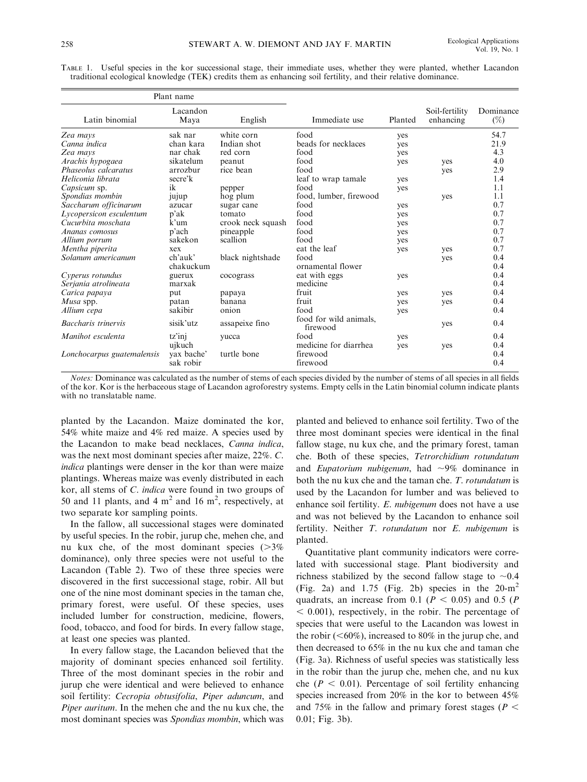TABLE 1. Useful species in the kor successional stage, their immediate uses, whether they were planted, whether Lacandon traditional ecological knowledge (TEK) credits them as enhancing soil fertility, and their relative dominance.

| Plant name                 |                  |                   |                                    |         |                             |                     |
|----------------------------|------------------|-------------------|------------------------------------|---------|-----------------------------|---------------------|
| Latin binomial             | Lacandon<br>Maya | English           | Immediate use                      | Planted | Soil-fertility<br>enhancing | Dominance<br>$(\%)$ |
| Zea mays                   | sak nar          | white corn        | food                               | yes     |                             | 54.7                |
| Canna indica               | chan kara        | Indian shot       | beads for necklaces                | yes     |                             | 21.9                |
| Zea mays                   | nar chak         | red corn          | food                               | yes     |                             | 4.3                 |
| Arachis hypogaea           | sikatelum        | peanut            | food                               | yes     | yes                         | 4.0                 |
| Phaseolus calcaratus       | arrozbur         | rice bean         | food                               |         | yes                         | 2.9                 |
| Heliconia librata          | secre'k          |                   | leaf to wrap tamale                | yes     |                             | 1.4                 |
| Capsicum sp.               | ik               | pepper            | food                               | yes     |                             | 1.1                 |
| Spondias mombin            | jujup            | hog plum          | food, lumber, firewood             |         | yes                         | 1.1                 |
| Saccharum officinarum      | azucar           | sugar cane        | food                               | yes     |                             | 0.7                 |
| Lycopersicon esculentum    | p'ak             | tomato            | food                               | yes     |                             | 0.7                 |
| Cucurbita moschata         | $k'$ um          | crook neck squash | food                               | yes     |                             | 0.7                 |
| Ananas comosus             | p'ach            | pineapple         | food                               | yes     |                             | 0.7                 |
| Allium porrum              | sakekon          | scallion          | food                               | yes     |                             | 0.7                 |
| Mentha piperita            | xex              |                   | eat the leaf                       | yes     | yes                         | 0.7                 |
| Solanum americanum         | ch'auk'          | black nightshade  | food                               |         | yes                         | 0.4                 |
|                            | chakuckum        |                   | ornamental flower                  |         |                             | 0.4                 |
| Cyperus rotundus           | guerux           | cocograss         | eat with eggs                      | yes     |                             | 0.4                 |
| Serjania atrolineata       | marxak           |                   | medicine                           |         |                             | 0.4                 |
| Carica papaya              | put              | papaya            | fruit                              | yes     | yes                         | 0.4                 |
| Musa spp.                  | patan            | banana            | fruit                              | yes     | yes                         | 0.4                 |
| Allium cepa                | sakibir          | onion             | food                               | yes     |                             | 0.4                 |
| <b>Baccharis trinervis</b> | sisik'utz        | assapeixe fino    | food for wild animals,<br>firewood |         | yes                         | 0.4                 |
| Manihot esculenta          | tz'inj           | vucca             | food                               | yes     |                             | 0.4                 |
|                            | ujkuch           |                   | medicine for diarrhea              | yes     | yes                         | 0.4                 |
| Lonchocarpus guatemalensis | yax bache'       | turtle bone       | firewood                           |         |                             | 0.4                 |
|                            | sak robir        |                   | firewood                           |         |                             | 0.4                 |

Notes: Dominance was calculated as the number of stems of each species divided by the number of stems of all species in all fields of the kor. Kor is the herbaceous stage of Lacandon agroforestry systems. Empty cells in the Latin binomial column indicate plants with no translatable name.

planted by the Lacandon. Maize dominated the kor, 54% white maize and 4% red maize. A species used by the Lacandon to make bead necklaces, Canna indica, was the next most dominant species after maize, 22%. C. indica plantings were denser in the kor than were maize plantings. Whereas maize was evenly distributed in each kor, all stems of C. indica were found in two groups of 50 and 11 plants, and 4  $m<sup>2</sup>$  and 16  $m<sup>2</sup>$ , respectively, at two separate kor sampling points.

In the fallow, all successional stages were dominated by useful species. In the robir, jurup che, mehen che, and nu kux che, of the most dominant species  $(>\frac{3}{%}$ dominance), only three species were not useful to the Lacandon (Table 2). Two of these three species were discovered in the first successional stage, robir. All but one of the nine most dominant species in the taman che, primary forest, were useful. Of these species, uses included lumber for construction, medicine, flowers, food, tobacco, and food for birds. In every fallow stage, at least one species was planted.

In every fallow stage, the Lacandon believed that the majority of dominant species enhanced soil fertility. Three of the most dominant species in the robir and jurup che were identical and were believed to enhance soil fertility: Cecropia obtusifolia, Piper aduncum, and Piper auritum. In the mehen che and the nu kux che, the most dominant species was Spondias mombin, which was planted and believed to enhance soil fertility. Two of the three most dominant species were identical in the final fallow stage, nu kux che, and the primary forest, taman che. Both of these species, Tetrorchidium rotundatum and *Eupatorium nubigenum*, had  $\sim$ 9% dominance in both the nu kux che and the taman che. T. rotundatum is used by the Lacandon for lumber and was believed to enhance soil fertility. E. nubigenum does not have a use and was not believed by the Lacandon to enhance soil fertility. Neither T. rotundatum nor E. nubigenum is planted.

Quantitative plant community indicators were correlated with successional stage. Plant biodiversity and richness stabilized by the second fallow stage to  $\sim 0.4$ (Fig. 2a) and  $1.75$  (Fig. 2b) species in the  $20 \text{--} m^2$ quadrats, an increase from 0.1 ( $P < 0.05$ ) and 0.5 (P)  $< 0.001$ ), respectively, in the robir. The percentage of species that were useful to the Lacandon was lowest in the robir  $(<60\%)$ , increased to 80% in the jurup che, and then decreased to 65% in the nu kux che and taman che (Fig. 3a). Richness of useful species was statistically less in the robir than the jurup che, mehen che, and nu kux che ( $P < 0.01$ ). Percentage of soil fertility enhancing species increased from 20% in the kor to between 45% and 75% in the fallow and primary forest stages ( $P$  < 0.01; Fig. 3b).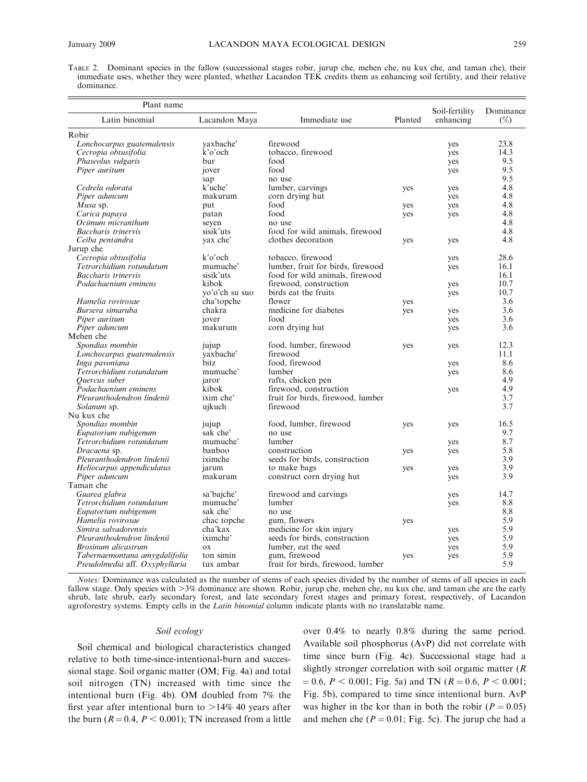|            |  |  | TABLE 2. Dominant species in the fallow (successional stages robir, jurup che, mehen che, nu kux che, and taman che), their  |
|------------|--|--|------------------------------------------------------------------------------------------------------------------------------|
|            |  |  | immediate uses, whether they were planted, whether Lacandon TEK credits them as enhancing soil fertility, and their relative |
| dominance. |  |  |                                                                                                                              |

| Plant name                     |                |                                   |         | Soil-fertility | Dominance |
|--------------------------------|----------------|-----------------------------------|---------|----------------|-----------|
| Latin binomial                 | Lacandon Maya  | Immediate use                     | Planted | enhancing      | $(\%)$    |
| Robir                          |                |                                   |         |                |           |
| Lonchocarpus guatemalensis     | vaxbache'      | firewood                          |         | yes            | 23.8      |
| Cecropia obtusifolia           | k'o'och        | tobacco, firewood                 |         | yes            | 14.3      |
| Phaseolus vulgaris             | bur            | food                              |         | yes            | 9.5       |
| Piper auritum                  | jover          | food                              |         | yes            | 9.5       |
|                                | sap            | no use                            |         |                | 9.5       |
| Cedrela odorata                | k'uche'        | lumber, carvings                  | yes     | yes            | 4.8       |
| Piper aduncum                  | makurum        | corn drying hut                   |         | yes            | 4.8       |
| Musa sp.                       | put            | food                              | yes     | yes            | 4.8       |
| Carica papaya                  | patan          | food                              | yes     | yes            | 4.8       |
| Ocimum micranthum              | seyen          | no use                            |         |                | 4.8       |
| Baccharis trinervis            | sisik'uts      | food for wild animals, firewood   |         |                | 4.8       |
| Ceiba pentandra                | yax che'       | clothes decoration                | yes     | yes            | 4.8       |
| Jurup che                      |                |                                   |         |                |           |
| Cecropia obtusifolia           | k'o'och        | tobacco, firewood                 |         |                | 28.6      |
| Tetrorchidium rotundatum       | mumuche'       | lumber, fruit for birds, firewood |         | yes            | 16.1      |
| Baccharis trinervis            | sisik'uts      | food for wild animals, firewood   |         | yes            | 16.1      |
|                                | kibok          |                                   |         |                | 10.7      |
| Podachaenium eminens           |                | firewood, construction            |         | yes            | 10.7      |
|                                | vo'o'ch su suo | birds eat the fruits              |         | yes            |           |
| Hamelia rovirosae              | cha'topche     | flower                            | yes     |                | 3.6       |
| Bursera simaruba               | chakra         | medicine for diabetes             | yes     | yes            | 3.6       |
| Piper auritum                  | iover          | food                              |         | yes            | 3.6       |
| Piper aduncum                  | makurum        | corn drying hut                   |         | yes            | 3.6       |
| Mehen che                      |                |                                   |         |                |           |
| Spondias mombin                | jujup          | food, lumber, firewood            | yes     | yes            | 12.3      |
| Lonchocarpus guatemalensis     | vaxbache'      | firewood                          |         |                | 11.1      |
| Inga pavoniana                 | bitz.          | food, firewood                    |         | yes            | 8.6       |
| Tetrorchidium rotundatum       | mumuche'       | lumber                            |         | yes            | 8.6       |
| Ouercus suber                  | jaror          | rafts, chicken pen                |         |                | 49        |
| Podachaenium eminens           | kibok          | firewood, construction            |         | yes            | 4.9       |
| Pleuranthodendron lindenii     | ixim che'      | fruit for birds, firewood, lumber |         |                | 3.7       |
| Solanum sp.                    | ujkuch         | firewood                          |         |                | 3.7       |
| Nu kux che                     |                |                                   |         |                |           |
| Spondias mombin                | jujup          | food, lumber, firewood            | yes     | yes            | 16.5      |
| Eupatorium nubigenum           | sak che'       | no use                            |         |                | 9.7       |
| Tetrorchidium rotundatum       | mumuche'       | lumber                            |         | yes            | 8.7       |
| Dracaena sp.                   | banboo         | construction                      | yes     | yes            | 5.8       |
| Pleuranthodendron lindenii     | iximche        | seeds for birds, construction     |         |                | 3.9       |
| Heliocarpus appendiculatus     | jarum          | to make bags                      | yes     | yes            | 3.9       |
| Piper aduncum                  | makurum        | construct corn drying hut         |         | yes            | 3.9       |
| Taman che                      |                |                                   |         |                |           |
| Guarea glabra                  | sa'bajche'     | firewood and carvings             |         | yes            | 14.7      |
| Tetrorchidium rotundatum       | mumuche'       | lumber                            |         | yes            | 8.8       |
| Eupatorium nubigenum           | sak che'       | no use                            |         |                | 8.8       |
| Hamelia rovirosae              | chac topche    | gum, flowers                      | yes     |                | 5.9       |
| Simira salvadorensis           | cha'kax        | medicine for skin injury          |         | yes            | 5.9       |
| Pleuranthodendron lindenii     | iximche'       | seeds for birds, construction     |         | yes            | 5.9       |
| Brosinum alicastrum            | OX             | lumber, eat the seed              |         | yes            | 5.9       |
| Tabernaemontana amygdalifolia  | ton simin      | gum, firewood                     | yes     | yes            | 5.9       |
| Pseudolmedia aff. Oxyphyllaria | tux ambar      | fruit for birds, firewood, lumber |         |                | 5.9       |
|                                |                |                                   |         |                |           |

Notes: Dominance was calculated as the number of stems of each species divided by the number of stems of all species in each fallow stage. Only species with  $>3\%$  dominance are shown. Robir, jurup che, mehen che, nu kux che, and taman che are the early shrub, late shrub, early secondary forest, and late secondary forest stages and primary forest, respectively, of Lacandon agroforestry systems. Empty cells in the Latin binomial column indicate plants with no translatable name.

## Soil ecology

Soil chemical and biological characteristics changed relative to both time-since-intentional-burn and successional stage. Soil organic matter (OM; Fig. 4a) and total soil nitrogen (TN) increased with time since the intentional burn (Fig. 4b). OM doubled from 7% the first year after intentional burn to  $>14\%$  40 years after the burn ( $R = 0.4$ ,  $P < 0.001$ ); TN increased from a little over 0.4% to nearly 0.8% during the same period. Available soil phosphorus (AvP) did not correlate with time since burn (Fig. 4c). Successional stage had a slightly stronger correlation with soil organic matter (R  $= 0.6, P < 0.001$ ; Fig. 5a) and TN ( $R = 0.6, P < 0.001$ ; Fig. 5b), compared to time since intentional burn. AvP was higher in the kor than in both the robir ( $P = 0.05$ ) and mehen che ( $P = 0.01$ ; Fig. 5c). The jurup che had a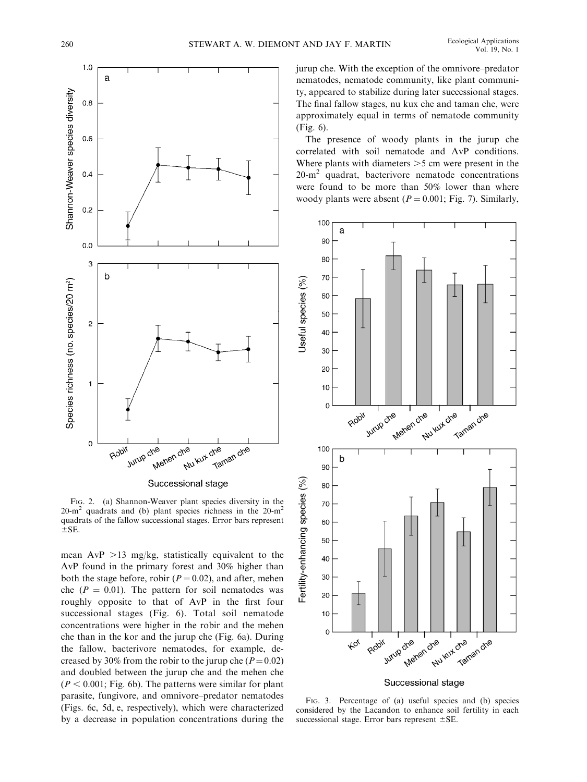

FIG. 2. (a) Shannon-Weaver plant species diversity in the  $20\text{-m}^2$  quadrats and (b) plant species richness in the  $20\text{-m}^2$ quadrats of the fallow successional stages. Error bars represent  $\pm$ SE.

mean  $AvP > 13$  mg/kg, statistically equivalent to the AvP found in the primary forest and 30% higher than both the stage before, robir ( $P = 0.02$ ), and after, mehen che ( $P = 0.01$ ). The pattern for soil nematodes was roughly opposite to that of AvP in the first four successional stages (Fig. 6). Total soil nematode concentrations were higher in the robir and the mehen che than in the kor and the jurup che (Fig. 6a). During the fallow, bacterivore nematodes, for example, decreased by 30% from the robir to the jurup che ( $P = 0.02$ ) and doubled between the jurup che and the mehen che  $(P < 0.001$ ; Fig. 6b). The patterns were similar for plant parasite, fungivore, and omnivore–predator nematodes (Figs. 6c, 5d, e, respectively), which were characterized by a decrease in population concentrations during the jurup che. With the exception of the omnivore–predator nematodes, nematode community, like plant community, appeared to stabilize during later successional stages. The final fallow stages, nu kux che and taman che, were approximately equal in terms of nematode community (Fig. 6).

The presence of woody plants in the jurup che correlated with soil nematode and AvP conditions. Where plants with diameters  $>5$  cm were present in the  $20-m^2$  quadrat, bacterivore nematode concentrations were found to be more than 50% lower than where woody plants were absent ( $P = 0.001$ ; Fig. 7). Similarly,



FIG. 3. Percentage of (a) useful species and (b) species considered by the Lacandon to enhance soil fertility in each successional stage. Error bars represent  $\pm$ SE.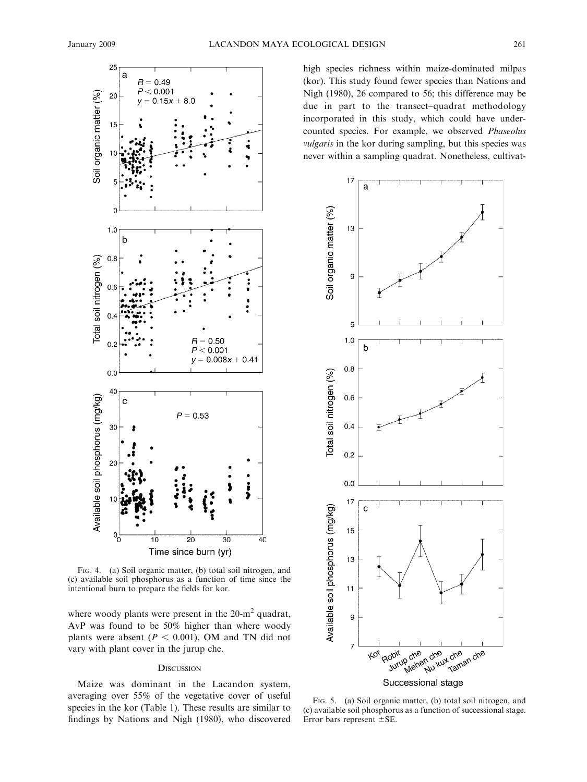

FIG. 4. (a) Soil organic matter, (b) total soil nitrogen, and (c) available soil phosphorus as a function of time since the intentional burn to prepare the fields for kor.

where woody plants were present in the  $20-m^2$  quadrat, AvP was found to be 50% higher than where woody plants were absent ( $P < 0.001$ ). OM and TN did not vary with plant cover in the jurup che.

## **DISCUSSION**

Maize was dominant in the Lacandon system, averaging over 55% of the vegetative cover of useful species in the kor (Table 1). These results are similar to findings by Nations and Nigh (1980), who discovered high species richness within maize-dominated milpas (kor). This study found fewer species than Nations and Nigh (1980), 26 compared to 56; this difference may be due in part to the transect–quadrat methodology incorporated in this study, which could have undercounted species. For example, we observed Phaseolus vulgaris in the kor during sampling, but this species was never within a sampling quadrat. Nonetheless, cultivat-



FIG. 5. (a) Soil organic matter, (b) total soil nitrogen, and (c) available soil phosphorus as a function of successional stage. Error bars represent  $\pm$ SE.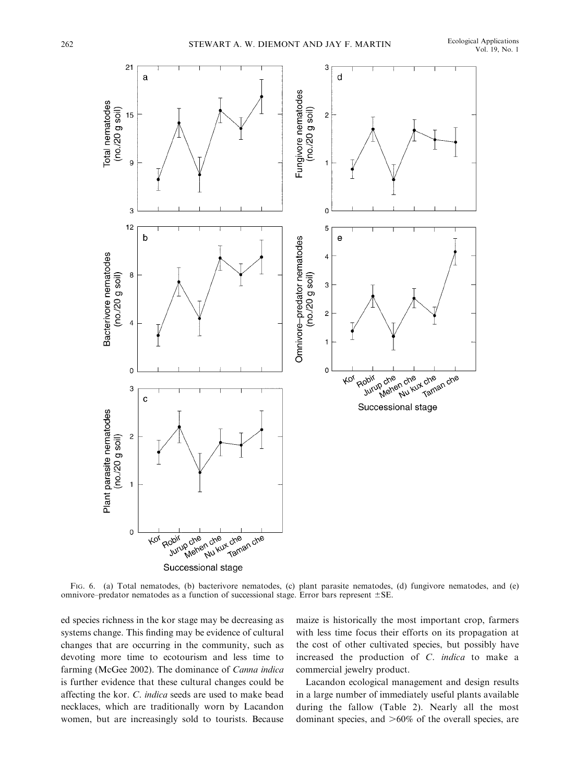

FIG. 6. (a) Total nematodes, (b) bacterivore nematodes, (c) plant parasite nematodes, (d) fungivore nematodes, and (e) omnivore–predator nematodes as a function of successional stage. Error bars represent  $\pm$ SE.

ed species richness in the kor stage may be decreasing as systems change. This finding may be evidence of cultural changes that are occurring in the community, such as devoting more time to ecotourism and less time to farming (McGee 2002). The dominance of *Canna indica* is further evidence that these cultural changes could be affecting the kor. C. indica seeds are used to make bead necklaces, which are traditionally worn by Lacandon women, but are increasingly sold to tourists. Because

maize is historically the most important crop, farmers with less time focus their efforts on its propagation at the cost of other cultivated species, but possibly have increased the production of C. indica to make a commercial jewelry product.

Lacandon ecological management and design results in a large number of immediately useful plants available during the fallow (Table 2). Nearly all the most dominant species, and  $>60\%$  of the overall species, are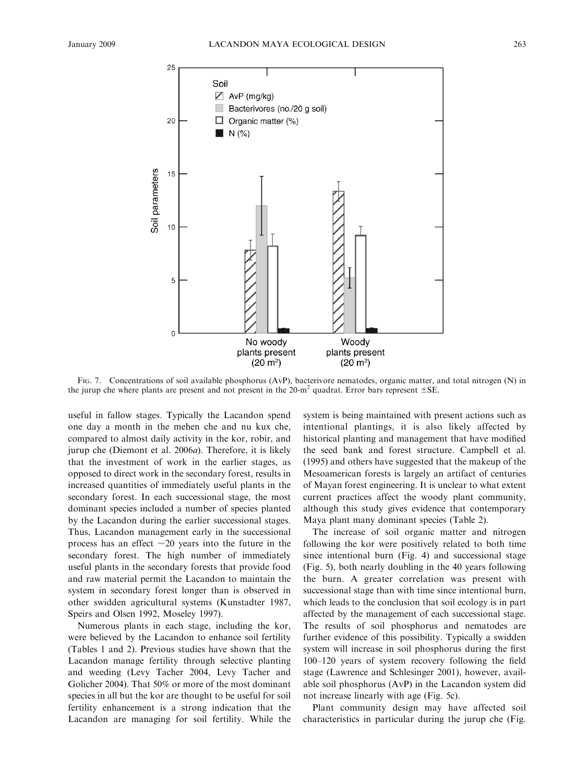

FIG. 7. Concentrations of soil available phosphorus (AvP), bacterivore nematodes, organic matter, and total nitrogen (N) in the jurup che where plants are present and not present in the  $20\text{-m}^2$  quadrat. Error bars represent  $\pm$ SE.

useful in fallow stages. Typically the Lacandon spend one day a month in the mehen che and nu kux che, compared to almost daily activity in the kor, robir, and jurup che (Diemont et al. 2006a). Therefore, it is likely that the investment of work in the earlier stages, as opposed to direct work in the secondary forest, results in increased quantities of immediately useful plants in the secondary forest. In each successional stage, the most dominant species included a number of species planted by the Lacandon during the earlier successional stages. Thus, Lacandon management early in the successional process has an effect  $\sim$ 20 years into the future in the secondary forest. The high number of immediately useful plants in the secondary forests that provide food and raw material permit the Lacandon to maintain the system in secondary forest longer than is observed in other swidden agricultural systems (Kunstadter 1987, Speirs and Olsen 1992, Moseley 1997).

Numerous plants in each stage, including the kor, were believed by the Lacandon to enhance soil fertility (Tables 1 and 2). Previous studies have shown that the Lacandon manage fertility through selective planting and weeding (Levy Tacher 2004, Levy Tacher and Golicher 2004). That 50% or more of the most dominant species in all but the kor are thought to be useful for soil fertility enhancement is a strong indication that the Lacandon are managing for soil fertility. While the system is being maintained with present actions such as intentional plantings, it is also likely affected by historical planting and management that have modified the seed bank and forest structure. Campbell et al. (1995) and others have suggested that the makeup of the Mesoamerican forests is largely an artifact of centuries of Mayan forest engineering. It is unclear to what extent current practices affect the woody plant community, although this study gives evidence that contemporary Maya plant many dominant species (Table 2).

The increase of soil organic matter and nitrogen following the kor were positively related to both time since intentional burn (Fig. 4) and successional stage (Fig. 5), both nearly doubling in the 40 years following the burn. A greater correlation was present with successional stage than with time since intentional burn, which leads to the conclusion that soil ecology is in part affected by the management of each successional stage. The results of soil phosphorus and nematodes are further evidence of this possibility. Typically a swidden system will increase in soil phosphorus during the first 100–120 years of system recovery following the field stage (Lawrence and Schlesinger 2001), however, available soil phosphorus (AvP) in the Lacandon system did not increase linearly with age (Fig. 5c).

Plant community design may have affected soil characteristics in particular during the jurup che (Fig.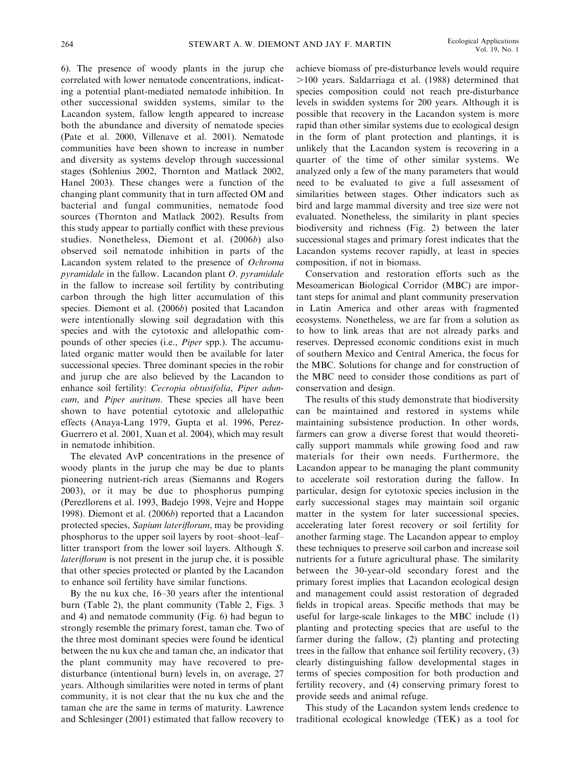6). The presence of woody plants in the jurup che correlated with lower nematode concentrations, indicating a potential plant-mediated nematode inhibition. In other successional swidden systems, similar to the Lacandon system, fallow length appeared to increase both the abundance and diversity of nematode species (Pate et al. 2000, Villenave et al. 2001). Nematode communities have been shown to increase in number and diversity as systems develop through successional stages (Sohlenius 2002, Thornton and Matlack 2002, Hanel 2003). These changes were a function of the changing plant community that in turn affected OM and bacterial and fungal communities, nematode food sources (Thornton and Matlack 2002). Results from this study appear to partially conflict with these previous studies. Nonetheless, Diemont et al. (2006b) also observed soil nematode inhibition in parts of the Lacandon system related to the presence of Ochroma pyramidale in the fallow. Lacandon plant  $O$ . pyramidale in the fallow to increase soil fertility by contributing carbon through the high litter accumulation of this species. Diemont et al. (2006b) posited that Lacandon were intentionally slowing soil degradation with this species and with the cytotoxic and allelopathic compounds of other species (i.e., Piper spp.). The accumulated organic matter would then be available for later successional species. Three dominant species in the robir and jurup che are also believed by the Lacandon to enhance soil fertility: Cecropia obtusifolia, Piper aduncum, and Piper auritum. These species all have been shown to have potential cytotoxic and allelopathic effects (Anaya-Lang 1979, Gupta et al. 1996, Perez-Guerrero et al. 2001, Xuan et al. 2004), which may result in nematode inhibition.

The elevated AvP concentrations in the presence of woody plants in the jurup che may be due to plants pioneering nutrient-rich areas (Siemanns and Rogers 2003), or it may be due to phosphorus pumping (Perezllorens et al. 1993, Badejo 1998, Vejre and Hoppe 1998). Diemont et al. (2006b) reported that a Lacandon protected species, Sapium lateriflorum, may be providing phosphorus to the upper soil layers by root–shoot–leaf– litter transport from the lower soil layers. Although S. lateriflorum is not present in the jurup che, it is possible that other species protected or planted by the Lacandon to enhance soil fertility have similar functions.

By the nu kux che, 16–30 years after the intentional burn (Table 2), the plant community (Table 2, Figs. 3 and 4) and nematode community (Fig. 6) had begun to strongly resemble the primary forest, taman che. Two of the three most dominant species were found be identical between the nu kux che and taman che, an indicator that the plant community may have recovered to predisturbance (intentional burn) levels in, on average, 27 years. Although similarities were noted in terms of plant community, it is not clear that the nu kux che and the taman che are the same in terms of maturity. Lawrence and Schlesinger (2001) estimated that fallow recovery to

achieve biomass of pre-disturbance levels would require .100 years. Saldarriaga et al. (1988) determined that species composition could not reach pre-disturbance levels in swidden systems for 200 years. Although it is possible that recovery in the Lacandon system is more rapid than other similar systems due to ecological design in the form of plant protection and plantings, it is unlikely that the Lacandon system is recovering in a quarter of the time of other similar systems. We analyzed only a few of the many parameters that would need to be evaluated to give a full assessment of similarities between stages. Other indicators such as bird and large mammal diversity and tree size were not evaluated. Nonetheless, the similarity in plant species biodiversity and richness (Fig. 2) between the later successional stages and primary forest indicates that the Lacandon systems recover rapidly, at least in species composition, if not in biomass.

Conservation and restoration efforts such as the Mesoamerican Biological Corridor (MBC) are important steps for animal and plant community preservation in Latin America and other areas with fragmented ecosystems. Nonetheless, we are far from a solution as to how to link areas that are not already parks and reserves. Depressed economic conditions exist in much of southern Mexico and Central America, the focus for the MBC. Solutions for change and for construction of the MBC need to consider those conditions as part of conservation and design.

The results of this study demonstrate that biodiversity can be maintained and restored in systems while maintaining subsistence production. In other words, farmers can grow a diverse forest that would theoretically support mammals while growing food and raw materials for their own needs. Furthermore, the Lacandon appear to be managing the plant community to accelerate soil restoration during the fallow. In particular, design for cytotoxic species inclusion in the early successional stages may maintain soil organic matter in the system for later successional species, accelerating later forest recovery or soil fertility for another farming stage. The Lacandon appear to employ these techniques to preserve soil carbon and increase soil nutrients for a future agricultural phase. The similarity between the 30-year-old secondary forest and the primary forest implies that Lacandon ecological design and management could assist restoration of degraded fields in tropical areas. Specific methods that may be useful for large-scale linkages to the MBC include (1) planting and protecting species that are useful to the farmer during the fallow, (2) planting and protecting trees in the fallow that enhance soil fertility recovery, (3) clearly distinguishing fallow developmental stages in terms of species composition for both production and fertility recovery, and (4) conserving primary forest to provide seeds and animal refuge.

This study of the Lacandon system lends credence to traditional ecological knowledge (TEK) as a tool for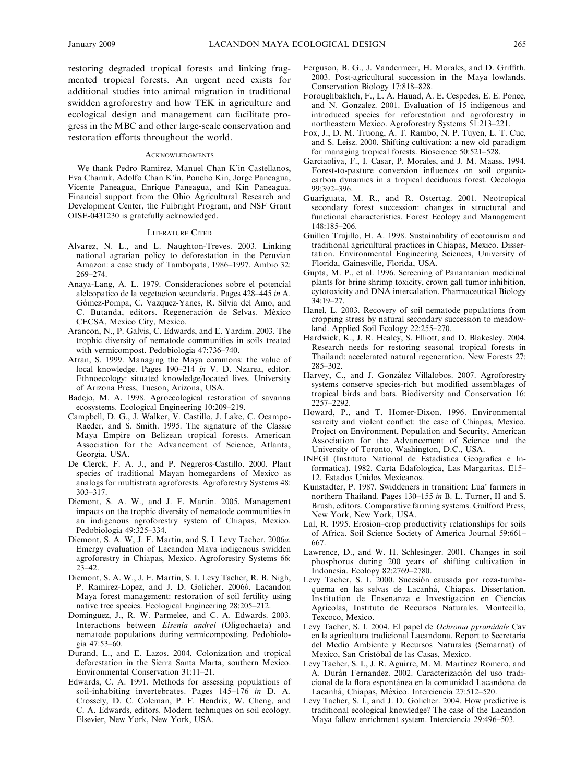restoring degraded tropical forests and linking fragmented tropical forests. An urgent need exists for additional studies into animal migration in traditional swidden agroforestry and how TEK in agriculture and ecological design and management can facilitate progress in the MBC and other large-scale conservation and restoration efforts throughout the world.

#### **ACKNOWLEDGMENTS**

We thank Pedro Ramirez, Manuel Chan K'in Castellanos, Eva Chanuk, Adolfo Chan K'in, Poncho Kin, Jorge Paneagua, Vicente Paneagua, Enrique Paneagua, and Kin Paneagua. Financial support from the Ohio Agricultural Research and Development Center, the Fulbright Program, and NSF Grant OISE-0431230 is gratefully acknowledged.

#### LITERATURE CITED

- Alvarez, N. L., and L. Naughton-Treves. 2003. Linking national agrarian policy to deforestation in the Peruvian Amazon: a case study of Tambopata, 1986–1997. Ambio 32: 269–274.
- Anaya-Lang, A. L. 1979. Consideraciones sobre el potencial aleleopatico de la vegetacion secundaria. Pages 428–445 in A. Gómez-Pompa, C. Vazquez-Yanes, R. Silvia del Amo, and Butanda, editors. Regeneración de Selvas. México CECSA, Mexico City, Mexico.
- Arancon, N., P. Galvis, C. Edwards, and E. Yardim. 2003. The trophic diversity of nematode communities in soils treated with vermicompost. Pedobiologia 47:736–740.
- Atran, S. 1999. Managing the Maya commons: the value of local knowledge. Pages 190–214 in V. D. Nzarea, editor. Ethnoecology: situated knowledge/located lives. University of Arizona Press, Tucson, Arizona, USA.
- Badejo, M. A. 1998. Agroecological restoration of savanna ecosystems. Ecological Engineering 10:209–219.
- Campbell, D. G., J. Walker, V. Castillo, J. Lake, C. Ocampo-Raeder, and S. Smith. 1995. The signature of the Classic Maya Empire on Belizean tropical forests. American Association for the Advancement of Science, Atlanta, Georgia, USA.
- De Clerck, F. A. J., and P. Negreros-Castillo. 2000. Plant species of traditional Mayan homegardens of Mexico as analogs for multistrata agroforests. Agroforestry Systems 48: 303–317.
- Diemont, S. A. W., and J. F. Martin. 2005. Management impacts on the trophic diversity of nematode communities in an indigenous agroforestry system of Chiapas, Mexico. Pedobiologia 49:325–334.
- Diemont, S. A. W, J. F. Martin, and S. I. Levy Tacher. 2006a. Emergy evaluation of Lacandon Maya indigenous swidden agroforestry in Chiapas, Mexico. Agroforestry Systems 66: 23–42.
- Diemont, S. A. W., J. F. Martin, S. I. Levy Tacher, R. B. Nigh, P. Ramirez-Lopez, and J. D. Golicher. 2006b. Lacandon Maya forest management: restoration of soil fertility using native tree species. Ecological Engineering 28:205–212.
- Domínguez, J., R. W. Parmelee, and C. A. Edwards. 2003. Interactions between Eisenia andrei (Oligochaeta) and nematode populations during vermicomposting. Pedobiologia 47:53–60.
- Durand, L., and E. Lazos. 2004. Colonization and tropical deforestation in the Sierra Santa Marta, southern Mexico. Environmental Conservation 31:11–21.
- Edwards, C. A. 1991. Methods for assessing populations of soil-inhabiting invertebrates. Pages 145–176 in D. A. Crossely, D. C. Coleman, P. F. Hendrix, W. Cheng, and C. A. Edwards, editors. Modern techniques on soil ecology. Elsevier, New York, New York, USA.
- Ferguson, B. G., J. Vandermeer, H. Morales, and D. Griffith. 2003. Post-agricultural succession in the Maya lowlands. Conservation Biology 17:818–828.
- Foroughbakhch, F., L. A. Hauad, A. E. Cespedes, E. E. Ponce, and N. Gonzalez. 2001. Evaluation of 15 indigenous and introduced species for reforestation and agroforestry in northeastern Mexico. Agroforestry Systems 51:213–221.
- Fox, J., D. M. Truong, A. T. Rambo, N. P. Tuyen, L. T. Cuc, and S. Leisz. 2000. Shifting cultivation: a new old paradigm for managing tropical forests. Bioscience 50:521–528.
- Garciaoliva, F., I. Casar, P. Morales, and J. M. Maass. 1994. Forest-to-pasture conversion influences on soil organiccarbon dynamics in a tropical deciduous forest. Oecologia 99:392–396.
- Guariguata, M. R., and R. Ostertag. 2001. Neotropical secondary forest succession: changes in structural and functional characteristics. Forest Ecology and Management 148:185–206.
- Guillen Trujillo, H. A. 1998. Sustainability of ecotourism and traditional agricultural practices in Chiapas, Mexico. Dissertation. Environmental Engineering Sciences, University of Florida, Gainesville, Florida, USA.
- Gupta, M. P., et al. 1996. Screening of Panamanian medicinal plants for brine shrimp toxicity, crown gall tumor inhibition, cytotoxicity and DNA intercalation. Pharmaceutical Biology  $34.19 - 27$
- Hanel, L. 2003. Recovery of soil nematode populations from cropping stress by natural secondary succession to meadowland. Applied Soil Ecology 22:255–270.
- Hardwick, K., J. R. Healey, S. Elliott, and D. Blakesley. 2004. Research needs for restoring seasonal tropical forests in Thailand: accelerated natural regeneration. New Forests 27: 285–302.
- Harvey, C., and J. González Villalobos. 2007. Agroforestry systems conserve species-rich but modified assemblages of tropical birds and bats. Biodiversity and Conservation 16: 2257–2292.
- Howard, P., and T. Homer-Dixon. 1996. Environmental scarcity and violent conflict: the case of Chiapas, Mexico. Project on Environment, Population and Security, American Association for the Advancement of Science and the University of Toronto, Washington, D.C., USA.
- INEGI (Instituto National de Estadistica Geografica e Informatica). 1982. Carta Edafologica, Las Margaritas, E15– 12. Estados Unidos Mexicanos.
- Kunstadter, P. 1987. Swiddeners in transition: Lua' farmers in northern Thailand. Pages 130–155 in B. L. Turner, II and S. Brush, editors. Comparative farming systems. Guilford Press, New York, New York, USA.
- Lal, R. 1995. Erosion–crop productivity relationships for soils of Africa. Soil Science Society of America Journal 59:661– 667.
- Lawrence, D., and W. H. Schlesinger. 2001. Changes in soil phosphorus during 200 years of shifting cultivation in Indonesia. Ecology 82:2769–2780.
- Levy Tacher, S. I. 2000. Sucesión causada por roza-tumbaquema en las selvas de Lacanhá, Chiapas. Dissertation. Institution de Ensenanza e Investigacion en Ciencias Agricolas, Instituto de Recursos Naturales. Montecillo, Texcoco, Mexico.
- Levy Tacher, S. I. 2004. El papel de Ochroma pyramidale Cav en la agricultura tradicional Lacandona. Report to Secretaria del Medio Ambiente y Recursos Naturales (Semarnat) of Mexico, San Cristóbal de las Casas, Mexico.
- Levy Tacher, S. I., J. R. Aguirre, M. M. Martínez Romero, and A. Durán Fernandez. 2002. Caracterización del uso tradicional de la flora espontánea en la comunidad Lacandona de Lacanhá, Chiapas, México. Interciencia 27:512-520.
- Levy Tacher, S. I., and J. D. Golicher. 2004. How predictive is traditional ecological knowledge? The case of the Lacandon Maya fallow enrichment system. Interciencia 29:496–503.